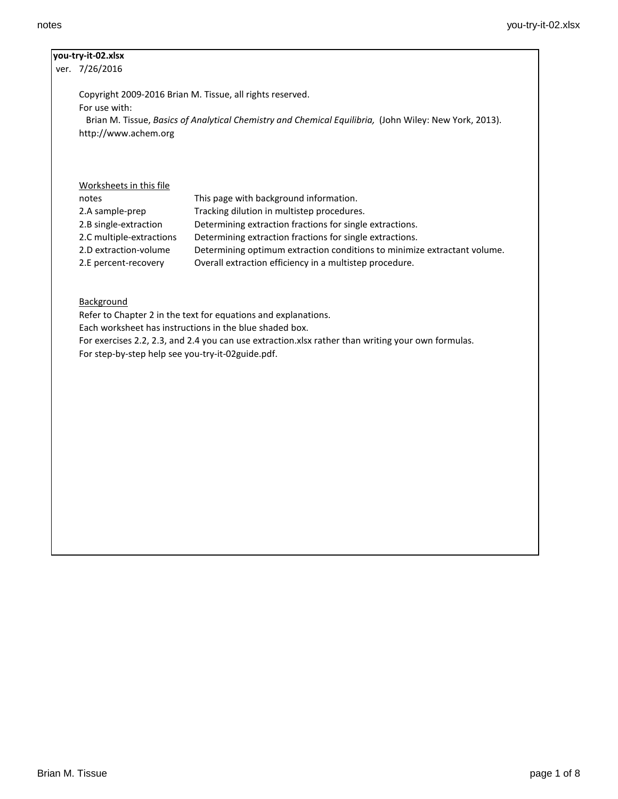# **you-try-it-02.xlsx**

ver. 7/26/2016

Copyright 2009-2016 Brian M. Tissue, all rights reserved. For use with: Brian M. Tissue, *Basics of Analytical Chemistry and Chemical Equilibria,* (John Wiley: New York, 2013).

http://www.achem.org

# Worksheets in this file

| This page with background information.                                   |
|--------------------------------------------------------------------------|
| Tracking dilution in multistep procedures.                               |
| Determining extraction fractions for single extractions.                 |
| Determining extraction fractions for single extractions.                 |
| Determining optimum extraction conditions to minimize extractant volume. |
| Overall extraction efficiency in a multistep procedure.                  |
|                                                                          |

# **Background**

Refer to Chapter 2 in the text for equations and explanations. Each worksheet has instructions in the blue shaded box. For exercises 2.2, 2.3, and 2.4 you can use extraction.xlsx rather than writing your own formulas. For step-by-step help see you-try-it-02guide.pdf.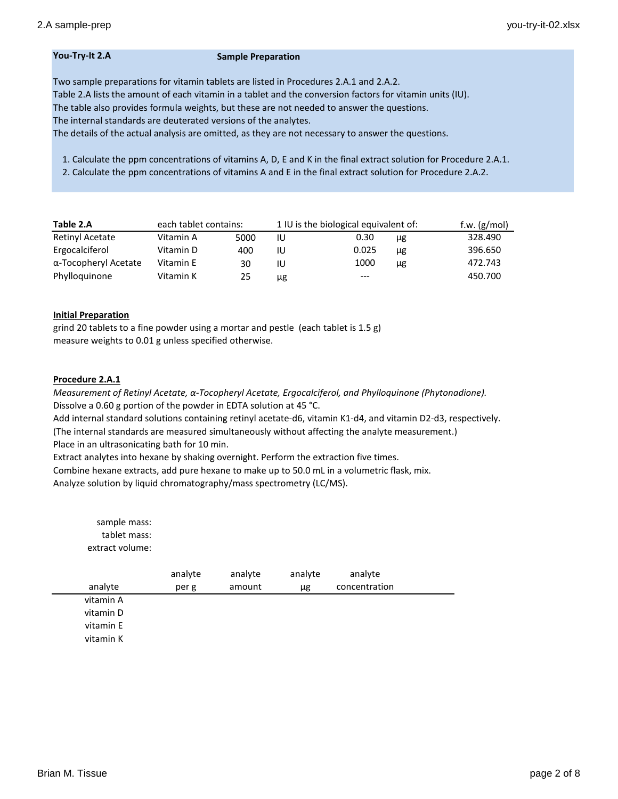### **You-Try-It 2.A Sample Preparation**

Two sample preparations for vitamin tablets are listed in Procedures 2.A.1 and 2.A.2.

Table 2.A lists the amount of each vitamin in a tablet and the conversion factors for vitamin units (IU).

The table also provides formula weights, but these are not needed to answer the questions.

The internal standards are deuterated versions of the analytes.

The details of the actual analysis are omitted, as they are not necessary to answer the questions.

1. Calculate the ppm concentrations of vitamins A, D, E and K in the final extract solution for Procedure 2.A.1.

2. Calculate the ppm concentrations of vitamins A and E in the final extract solution for Procedure 2.A.2.

| Table 2.A            |           | each tablet contains: |    | 1 IU is the biological equivalent of: | f.w. $(g/mol)$ |         |
|----------------------|-----------|-----------------------|----|---------------------------------------|----------------|---------|
| Retinyl Acetate      | Vitamin A | 5000                  | IU | 0.30                                  | μg             | 328.490 |
| Ergocalciferol       | Vitamin D | 400                   | IU | 0.025                                 | μg             | 396.650 |
| α-Tocopheryl Acetate | Vitamin E | 30                    | IU | 1000                                  | μg             | 472.743 |
| Phylloguinone        | Vitamin K | 25                    | μg | $---$                                 |                | 450.700 |

# **Initial Preparation**

grind 20 tablets to a fine powder using a mortar and pestle (each tablet is 1.5 g) measure weights to 0.01 g unless specified otherwise.

# **Procedure 2.A.1**

*Measurement of Retinyl Acetate, α-Tocopheryl Acetate, Ergocalciferol, and Phylloquinone (Phytonadione).* Dissolve a 0.60 g portion of the powder in EDTA solution at 45 °C.

Add internal standard solutions containing retinyl acetate-d6, vitamin K1-d4, and vitamin D2-d3, respectively. (The internal standards are measured simultaneously without affecting the analyte measurement.) Place in an ultrasonicating bath for 10 min.

Extract analytes into hexane by shaking overnight. Perform the extraction five times.

Combine hexane extracts, add pure hexane to make up to 50.0 mL in a volumetric flask, mix. Analyze solution by liquid chromatography/mass spectrometry (LC/MS).

| sample mass:<br>tablet mass:<br>extract volume: |                  |                   |               |                          |  |
|-------------------------------------------------|------------------|-------------------|---------------|--------------------------|--|
| analyte                                         | analyte<br>per g | analyte<br>amount | analyte<br>μg | analyte<br>concentration |  |
| vitamin A                                       |                  |                   |               |                          |  |
| vitamin D                                       |                  |                   |               |                          |  |
| vitamin E                                       |                  |                   |               |                          |  |
| vitamin K                                       |                  |                   |               |                          |  |
|                                                 |                  |                   |               |                          |  |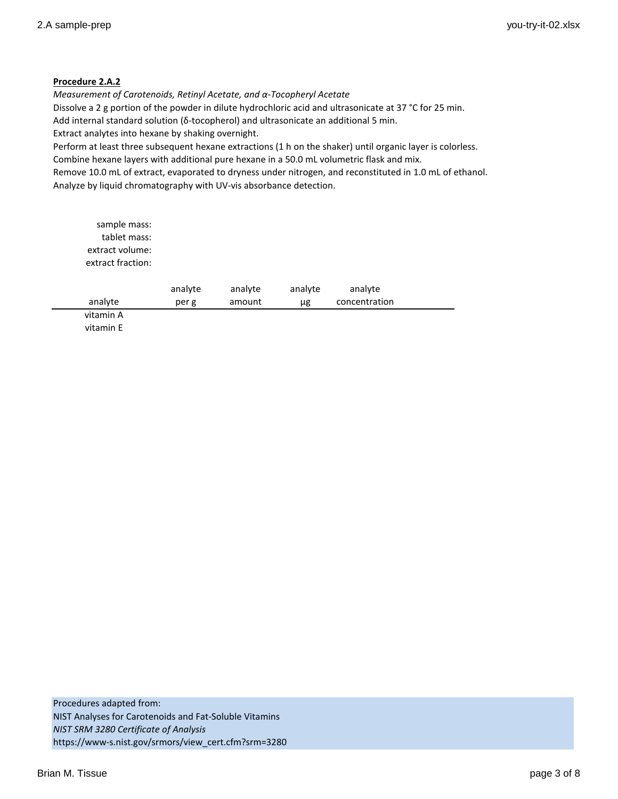# **Procedure 2.A.2**

*Measurement of Carotenoids, Retinyl Acetate, and α-Tocopheryl Acetate* Dissolve a 2 g portion of the powder in dilute hydrochloric acid and ultrasonicate at 37 °C for 25 min. Add internal standard solution (δ-tocopherol) and ultrasonicate an additional 5 min. Extract analytes into hexane by shaking overnight.

Perform at least three subsequent hexane extractions (1 h on the shaker) until organic layer is colorless. Combine hexane layers with additional pure hexane in a 50.0 mL volumetric flask and mix.

Remove 10.0 mL of extract, evaporated to dryness under nitrogen, and reconstituted in 1.0 mL of ethanol. Analyze by liquid chromatography with UV-vis absorbance detection.

| sample mass:<br>tablet mass:<br>extract volume:<br>extract fraction: |         |         |         |               |  |
|----------------------------------------------------------------------|---------|---------|---------|---------------|--|
|                                                                      | analyte | analyte | analyte | analyte       |  |
| analyte                                                              | per g   | amount  | μg      | concentration |  |
| vitamin A                                                            |         |         |         |               |  |
| vitamin E                                                            |         |         |         |               |  |

Procedures adapted from: NIST Analyses for Carotenoids and Fat-Soluble Vitamins *NIST SRM 3280 Certificate of Analysis* https://www-s.nist.gov/srmors/view\_cert.cfm?srm=3280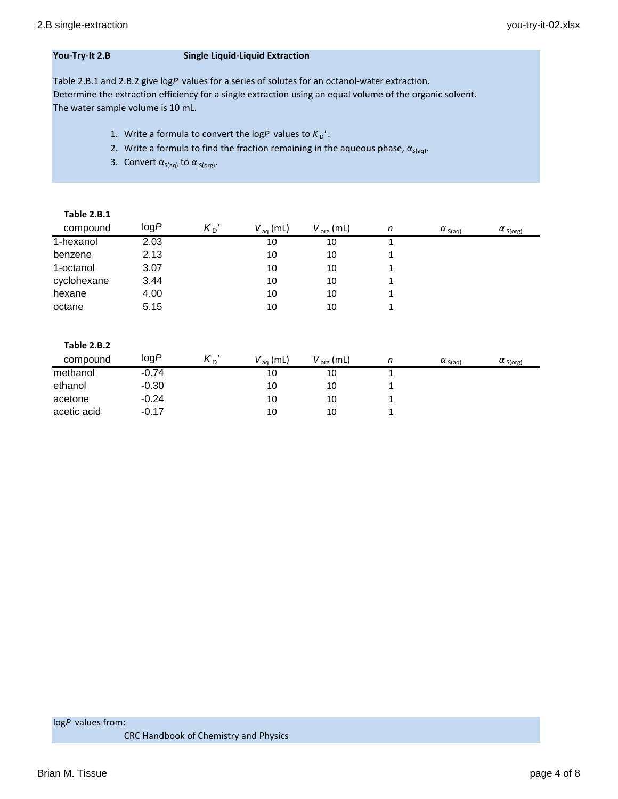# **You-Try-It 2.B Single Liquid-Liquid Extraction**

Table 2.B.1 and 2.B.2 give log*P* values for a series of solutes for an octanol-water extraction. Determine the extraction efficiency for a single extraction using an equal volume of the organic solvent. The water sample volume is 10 mL.

- 1. Write a formula to convert the logP values to  $K_D'$ .
- 2. Write a formula to find the fraction remaining in the aqueous phase,  $\alpha_{S(aq)}$ .
- 3. Convert  $\alpha_{S(aq)}$  to  $\alpha_{S(org)}$ .

| <b>Table 2.B.1</b> |      |           |                      |                |   |                  |                   |
|--------------------|------|-----------|----------------------|----------------|---|------------------|-------------------|
| compound           | logP | $K_{D}$ ' | $V_{\text{aq}}$ (mL) | $V_{org}$ (mL) | n | $\alpha_{S(aq)}$ | $\alpha_{S(org)}$ |
| 1-hexanol          | 2.03 |           | 10                   | 10             |   |                  |                   |
| benzene            | 2.13 |           | 10                   | 10             |   |                  |                   |
| 1-octanol          | 3.07 |           | 10                   | 10             |   |                  |                   |
| cyclohexane        | 3.44 |           | 10                   | 10             |   |                  |                   |
| hexane             | 4.00 |           | 10                   | 10             |   |                  |                   |
| octane             | 5.15 |           | 10                   | 10             | 1 |                  |                   |

| <b>Table 2.B.2</b> |         |           |                      |                       |                  |                   |
|--------------------|---------|-----------|----------------------|-----------------------|------------------|-------------------|
| compound           | logP    | $K_{D}$ ' | $V_{\text{aa}}$ (mL) | $V_{\text{org}}$ (mL) | $\alpha_{S(aq)}$ | $\alpha_{S(org)}$ |
| methanol           | $-0.74$ |           | 10                   | 10                    |                  |                   |
| ethanol            | $-0.30$ |           | 10                   | 10                    |                  |                   |
| acetone            | $-0.24$ |           | 10                   | 10                    |                  |                   |
| acetic acid        | $-0.17$ |           | 10                   | 10                    |                  |                   |

log*P* values from:

CRC Handbook of Chemistry and Physics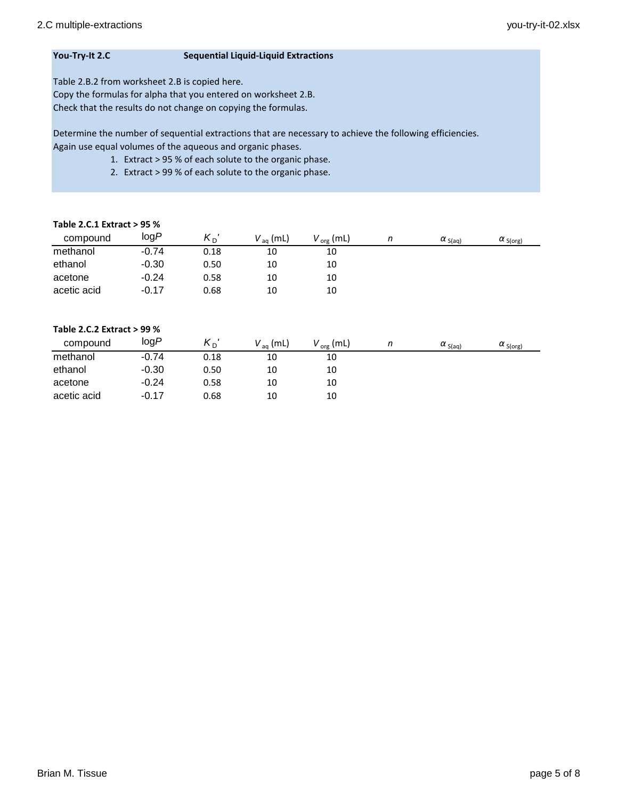# **You-Try-It 2.C Sequential Liquid-Liquid Extractions**

Table 2.B.2 from worksheet 2.B is copied here.

Copy the formulas for alpha that you entered on worksheet 2.B. Check that the results do not change on copying the formulas.

Determine the number of sequential extractions that are necessary to achieve the following efficiencies. Again use equal volumes of the aqueous and organic phases.

- 1. Extract > 95 % of each solute to the organic phase.
- 2. Extract > 99 % of each solute to the organic phase.

# **Table 2.C.1 Extract > 95 %**

| compound    | logP    | $K_{D}$ ' | $V_{\text{aq}}$ (mL) | $V_{org}$ (mL) | n | $\alpha_{S(aq)}$ | $\alpha_{S(org)}$ |
|-------------|---------|-----------|----------------------|----------------|---|------------------|-------------------|
| methanol    | $-0.74$ | 0.18      | 10                   | 10             |   |                  |                   |
| ethanol     | $-0.30$ | 0.50      | 10                   | 10             |   |                  |                   |
| acetone     | $-0.24$ | 0.58      | 10                   | 10             |   |                  |                   |
| acetic acid | $-0.17$ | 0.68      | 10                   | 10             |   |                  |                   |

# **Table 2.C.2 Extract > 99 %**

| compound    | logP    | $K_{\mathsf{D}}$ | $V_{aq}$ (mL) | $V_{org}$ (mL) | $\alpha_{S(aq)}$ | $\alpha$ S(org) |
|-------------|---------|------------------|---------------|----------------|------------------|-----------------|
| methanol    | $-0.74$ | 0.18             | 10            | 10             |                  |                 |
| ethanol     | $-0.30$ | 0.50             | 10            | 10             |                  |                 |
| acetone     | $-0.24$ | 0.58             | 10            | 10             |                  |                 |
| acetic acid | $-0.17$ | 0.68             | 10            | 10             |                  |                 |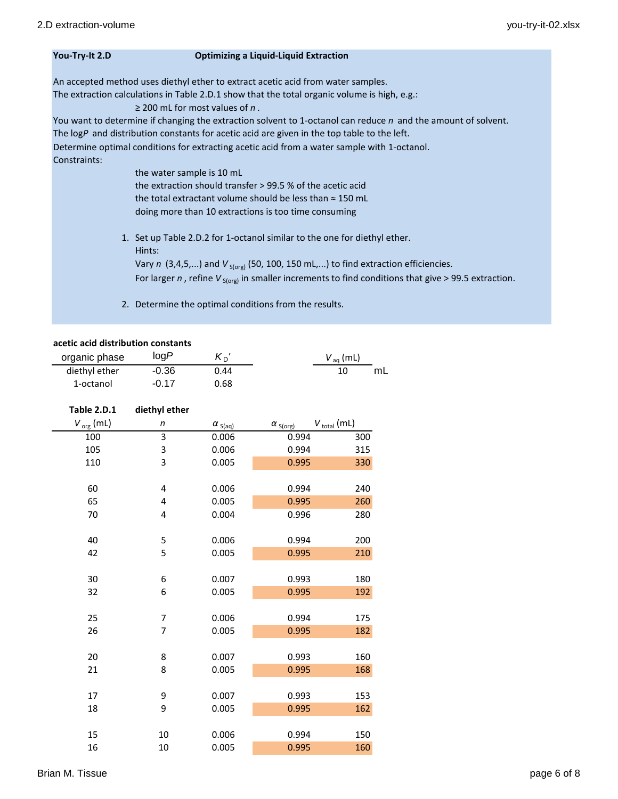### **You-Try-It 2.D Optimizing a Liquid-Liquid Extraction**

An accepted method uses diethyl ether to extract acetic acid from water samples.

The extraction calculations in Table 2.D.1 show that the total organic volume is high, e.g.:

≥ 200 mL for most values of *n* .

You want to determine if changing the extraction solvent to 1-octanol can reduce *n* and the amount of solvent. The log*P* and distribution constants for acetic acid are given in the top table to the left. Determine optimal conditions for extracting acetic acid from a water sample with 1-octanol. Constraints:

> the water sample is 10 mL the extraction should transfer > 99.5 % of the acetic acid the total extractant volume should be less than ≈ 150 mL doing more than 10 extractions is too time consuming

- 1. Set up Table 2.D.2 for 1-octanol similar to the one for diethyl ether. Hints: Vary  $n$  (3,4,5,...) and  $V_{S(org)}$  (50, 100, 150 mL,...) to find extraction efficiencies. For larger *n*, refine  $V_{S(org)}$  in smaller increments to find conditions that give > 99.5 extraction.
- 2. Determine the optimal conditions from the results.

## **acetic acid distribution constants**

| organic phase | logP    | $K_{\Gamma}$ | $V_{\text{aq}}$ (mL) |
|---------------|---------|--------------|----------------------|
| diethyl ether | $-0.36$ | 0.44         | mL                   |
| 1-octanol     | $-0.17$ | 0.68         |                      |

| Table 2.D.1    | diethyl ether |                  |                   |                         |
|----------------|---------------|------------------|-------------------|-------------------------|
| $V_{org}$ (mL) | n             | $\alpha_{S(aq)}$ | $\alpha_{S(org)}$ | $V_{\text{total}}$ (mL) |
| 100            | 3             | 0.006            | 0.994             | 300                     |
| 105            | 3             | 0.006            | 0.994             | 315                     |
| 110            | 3             | 0.005            | 0.995             | 330                     |
|                |               |                  |                   |                         |
| 60             | 4             | 0.006            | 0.994             | 240                     |
| 65             | 4             | 0.005            | 0.995             | 260                     |
| 70             | 4             | 0.004            | 0.996             | 280                     |
|                |               |                  |                   |                         |
| 40             | 5             | 0.006            | 0.994             | 200                     |
| 42             | 5             | 0.005            | 0.995             | 210                     |
|                |               |                  |                   |                         |
| 30             | 6             | 0.007            | 0.993             | 180                     |
| 32             | 6             | 0.005            | 0.995             | 192                     |
|                |               |                  |                   |                         |
| 25             | 7             | 0.006            | 0.994             | 175                     |
| 26             | 7             | 0.005            | 0.995             | 182                     |
|                |               |                  |                   |                         |
| 20             | 8             | 0.007            | 0.993             | 160                     |
| 21             | 8             | 0.005            | 0.995             | 168                     |
|                |               |                  |                   |                         |
| 17             | 9             | 0.007            | 0.993             | 153                     |
| 18             | 9             | 0.005            | 0.995             | 162                     |
|                |               |                  |                   |                         |
| 15             | 10            | 0.006            | 0.994             | 150                     |
| 16             | 10            | 0.005            | 0.995             | 160                     |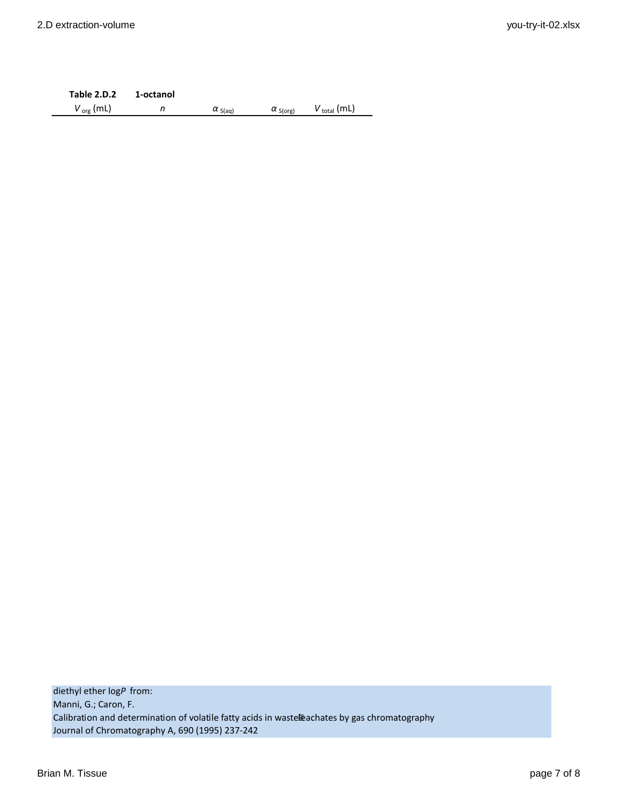**Table 2.D.2 1-octanol**  $V_{org}$  (mL) *n*  $\alpha_{S(aq)}$   $\alpha_{S(org)}$   $V_{total}$  (mL)